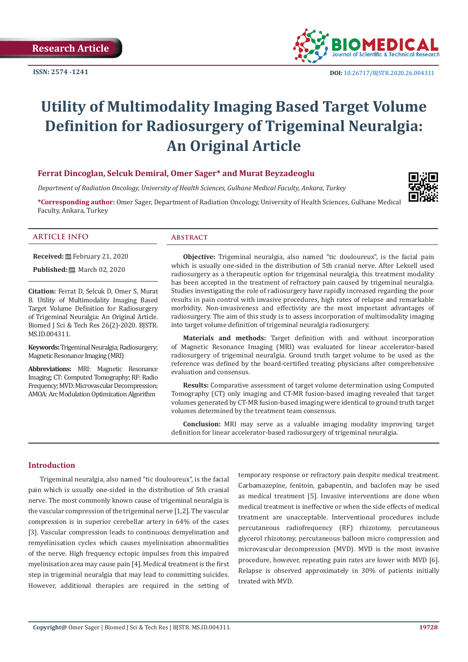**ISSN: 2574 -1241**



# **Utility of Multimodality Imaging Based Target Volume Definition for Radiosurgery of Trigeminal Neuralgia: An Original Article**

# **Ferrat Dincoglan, Selcuk Demiral, Omer Sager\* and Murat Beyzadeoglu**

*Department of Radiation Oncology, University of Health Sciences, Gulhane Medical Faculty, Ankara, Turkey*

**\*Corresponding author:** Omer Sager, Department of Radiation Oncology, University of Health Sciences, Gulhane Medical Faculty, Ankara, Turkey



# **ARTICLE INFO Abstract**

**Received:** February 21, 2020

**Published:** ■ March 02, 2020

**Citation:** Ferrat D, Selcuk D, Omer S, Murat B. Utility of Multimodality Imaging Based Target Volume Definition for Radiosurgery of Trigeminal Neuralgia: An Original Article. Biomed J Sci & Tech Res 26(2)-2020. BJSTR. MS.ID.004311.

**Keywords:** Trigeminal Neuralgia; Radiosurgery; Magnetic Resonance Imaging (MRI)

**Abbreviations:** MRI: Magnetic Resonance Imaging; CT: Computed Tomography; RF: Radio Frequency; MVD: Microvascular Decompression; AMOA: Arc Modulation Optimization Algorithm

**Objective:** Trigeminal neuralgia, also named "tic douloureux", is the facial pain which is usually one-sided in the distribution of 5th cranial nerve. After Leksell used radiosurgery as a therapeutic option for trigeminal neuralgia, this treatment modality has been accepted in the treatment of refractory pain caused by trigeminal neuralgia. Studies investigating the role of radiosurgery have rapidly increased regarding the poor results in pain control with invasive procedures, high rates of relapse and remarkable morbidity. Non-invasiveness and effectivity are the most important advantages of radiosurgery. The aim of this study is to assess incorporation of multimodality imaging into target volume definition of trigeminal neuralgia radiosurgery.

**Materials and methods:** Target definition with and without incorporation of Magnetic Resonance Imaging (MRI) was evaluated for linear accelerator-based radiosurgery of trigeminal neuralgia. Ground truth target volume to be used as the reference was defined by the board-certified treating physicians after comprehensive evaluation and consensus.

**Results:** Comparative assessment of target volume determination using Computed Tomography (CT) only imaging and CT-MR fusion-based imaging revealed that target volumes generated by CT-MR fusion-based imaging were identical to ground truth target volumes determined by the treatment team consensus.

**Conclusion:** MRI may serve as a valuable imaging modality improving target definition for linear accelerator-based radiosurgery of trigeminal neuralgia.

#### **Introduction**

Trigeminal neuralgia, also named "tic douloureux", is the facial pain which is usually one-sided in the distribution of 5th cranial nerve. The most commonly known cause of trigeminal neuralgia is the vascular compression of the trigeminal nerve [1,2]. The vascular compression is in superior cerebellar artery in 64% of the cases [3]. Vascular compression leads to continuous demyelination and remyelinisation cycles which causes myelinisation abnormalities of the nerve. High frequency ectopic impulses from this impaired myelinisation area may cause pain [4]. Medical treatment is the first step in trigeminal neuralgia that may lead to committing suicides. However, additional therapies are required in the setting of temporary response or refractory pain despite medical treatment. Carbamazepine, fenitoin, gabapentin, and baclofen may be used as medical treatment [5]. Invasive interventions are done when medical treatment is ineffective or when the side effects of medical treatment are unacceptable. Interventional procedures include percutaneous radiofrequency (RF) rhizotomy, percutaneous glycerol rhizotomy, percutaneous balloon micro compression and microvascular decompression (MVD). MVD is the most invasive procedure, however, repeating pain rates are lower with MVD [6]. Relapse is observed approximately in 30% of patients initially treated with MVD.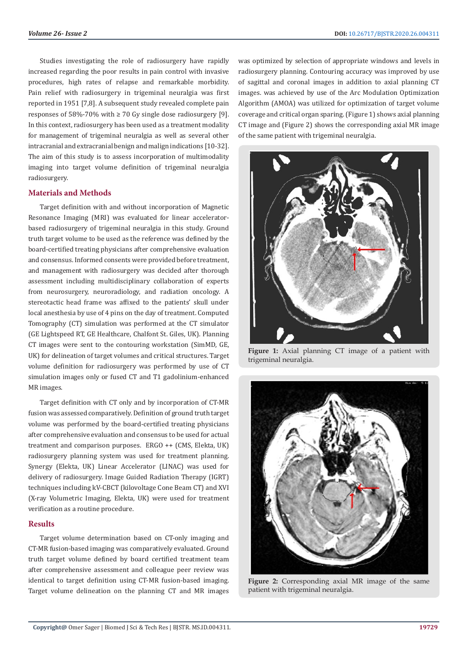Studies investigating the role of radiosurgery have rapidly increased regarding the poor results in pain control with invasive procedures, high rates of relapse and remarkable morbidity. Pain relief with radiosurgery in trigeminal neuralgia was first reported in 1951 [7,8]. A subsequent study revealed complete pain responses of 58%-70% with ≥ 70 Gy single dose radiosurgery [9]. In this context, radiosurgery has been used as a treatment modality for management of trigeminal neuralgia as well as several other intracranial and extracranial benign and malign indications [10-32]. The aim of this study is to assess incorporation of multimodality imaging into target volume definition of trigeminal neuralgia radiosurgery.

# **Materials and Methods**

Target definition with and without incorporation of Magnetic Resonance Imaging (MRI) was evaluated for linear acceleratorbased radiosurgery of trigeminal neuralgia in this study. Ground truth target volume to be used as the reference was defined by the board-certified treating physicians after comprehensive evaluation and consensus. Informed consents were provided before treatment, and management with radiosurgery was decided after thorough assessment including multidisciplinary collaboration of experts from neurosurgery, neuroradiology, and radiation oncology. A stereotactic head frame was affixed to the patients' skull under local anesthesia by use of 4 pins on the day of treatment. Computed Tomography (CT) simulation was performed at the CT simulator (GE Lightspeed RT, GE Healthcare, Chalfont St. Giles, UK). Planning CT images were sent to the contouring workstation (SimMD, GE, UK) for delineation of target volumes and critical structures. Target volume definition for radiosurgery was performed by use of CT simulation images only or fused CT and T1 gadolinium-enhanced MR images.

Target definition with CT only and by incorporation of CT-MR fusion was assessed comparatively. Definition of ground truth target volume was performed by the board-certified treating physicians after comprehensive evaluation and consensus to be used for actual treatment and comparison purposes. ERGO ++ (CMS, Elekta, UK) radiosurgery planning system was used for treatment planning. Synergy (Elekta, UK) Linear Accelerator (LINAC) was used for delivery of radiosurgery. Image Guided Radiation Therapy (IGRT) techniques including kV-CBCT (kilovoltage Cone Beam CT) and XVI (X-ray Volumetric Imaging, Elekta, UK) were used for treatment verification as a routine procedure.

# **Results**

Target volume determination based on CT-only imaging and CT-MR fusion-based imaging was comparatively evaluated. Ground truth target volume defined by board certified treatment team after comprehensive assessment and colleague peer review was identical to target definition using CT-MR fusion-based imaging. Target volume delineation on the planning CT and MR images

was optimized by selection of appropriate windows and levels in radiosurgery planning. Contouring accuracy was improved by use of sagittal and coronal images in addition to axial planning CT images. was achieved by use of the Arc Modulation Optimization Algorithm (AMOA) was utilized for optimization of target volume coverage and critical organ sparing. (Figure 1) shows axial planning CT image and (Figure 2) shows the corresponding axial MR image of the same patient with trigeminal neuralgia.



**Figure 1:** Axial planning CT image of a patient with trigeminal neuralgia.



**Figure 2:** Corresponding axial MR image of the same patient with trigeminal neuralgia.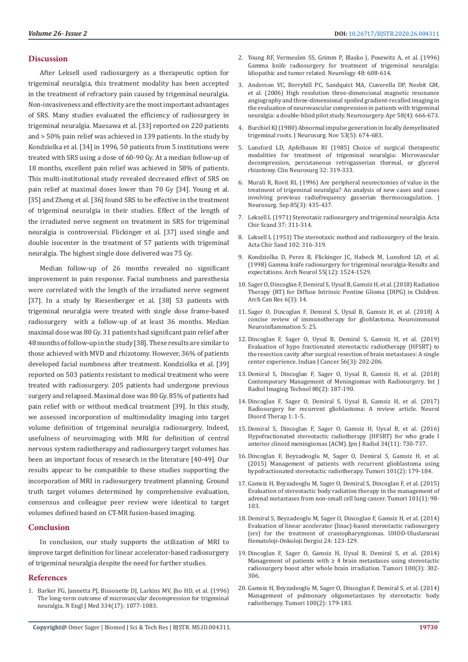#### **Discussion**

After Leksell used radiosurgery as a therapeutic option for trigeminal neuralgia, this treatment modality has been accepted in the treatment of refractory pain caused by trigeminal neuralgia. Non-invasiveness and effectivity are the most important advantages of SRS. Many studies evaluated the efficiency of radiosurgery in trigeminal neuralgia. Maesawa et al. [33] reported on 220 patients and > 50% pain relief was achieved in 139 patients. In the study by Kondziolka et al. [34] in 1996, 50 patients from 5 institutions were treated with SRS using a dose of 60-90 Gy. At a median follow-up of 18 months, excellent pain relief was achieved in 58% of patients. This multi-institutional study revealed decreased effect of SRS on pain relief at maximal doses lower than 70 Gy [34]. Young et al. [35] and Zheng et al. [36] found SRS to be effective in the treatment of trigeminal neuralgia in their studies. Effect of the length of the irradiated nerve segment on treatment in SRS for trigeminal neuralgia is controversial. Flickinger et al. [37] used single and double isocenter in the treatment of 57 patients with trigeminal neuralgia. The highest single dose delivered was 75 Gy.

Median follow-up of 26 months revealed no significant improvement in pain response. Facial numbness and paresthesia were correlated with the length of the irradiated nerve segment [37]. In a study by Riesenberger et al. [38] 53 patients with trigeminal neuralgia were treated with single dose frame-based radiosurgery with a follow-up of at least 36 months. Median maximal dose was 80 Gy. 31 patients had significant pain relief after 48 months of follow-up in the study [38]. These results are similar to those achieved with MVD and rhizotomy. However, 36% of patients developed facial numbness after treatment. Kondziolka et al. [39] reported on 503 patients resistant to medical treatment who were treated with radiosurgery. 205 patients had undergone previous surgery and relapsed. Maximal dose was 80 Gy. 85% of patients had pain relief with or without medical treatment [39]. In this study, we assessed incorporation of multimodality imaging into target volume definition of trigeminal neuralgia radiosurgery. Indeed, usefulness of neuroimaging with MRI for definition of central nervous system radiotherapy and radiosurgery target volumes has been an important focus of research in the literature [40-49]. Our results appear to be compatible to these studies supporting the incorporation of MRI in radiosurgery treatment planning. Ground truth target volumes determined by comprehensive evaluation, consensus and colleague peer review were identical to target volumes defined based on CT-MR fusion-based imaging.

# **Conclusion**

In conclusion, our study supports the utilization of MRI to improve target definition for linear accelerator-based radiosurgery of trigeminal neuralgia despite the need for further studies.

#### **References**

1. [Barker FG, Jannetta PJ, Bissonette DJ, Larkins MV, Jho HD, et al. \(1996\)](https://www.ncbi.nlm.nih.gov/pubmed/8598865)  [The long-term outcome of microvascular decompression for trigeminal](https://www.ncbi.nlm.nih.gov/pubmed/8598865)  [neuralgia. N Engl J Med 334\(17\): 1077-1083.](https://www.ncbi.nlm.nih.gov/pubmed/8598865)

- 2. [Young RF, Vermeulen SS, Grimm P, Blasko J, Posewitz A, et al. \(1996\)](https://www.ncbi.nlm.nih.gov/pubmed/9065534) [Gamma knife radiosurgery for treatment of trigeminal neuralgia:](https://www.ncbi.nlm.nih.gov/pubmed/9065534) [Idiopathic and tumor related. Neurology 48: 608-614.](https://www.ncbi.nlm.nih.gov/pubmed/9065534)
- 3. [Anderson VC, Berryhill PC, Sandquist MA, Ciaverella DP, Nesbit GM,](https://www.ncbi.nlm.nih.gov/pubmed/16575330) [et al. \(2006\) High resolution three-dimensional magnetic resonance](https://www.ncbi.nlm.nih.gov/pubmed/16575330) [angiography and three-dimensional spoiled gradient-recalled imaging in](https://www.ncbi.nlm.nih.gov/pubmed/16575330) [the evaluation of neurovascular compression in patients with trigeminal](https://www.ncbi.nlm.nih.gov/pubmed/16575330) [neuralgia: a double-blind pilot study. Neurosurgery. Apr 58\(4\): 666-673.](https://www.ncbi.nlm.nih.gov/pubmed/16575330)
- 4. [Burchiel KJ \(1980\) Abnormal impulse generation in focally demyelinated](https://www.ncbi.nlm.nih.gov/pubmed/7431076) [trigeminal roots. J Neurosurg. Nov 53\(5\): 674-683.](https://www.ncbi.nlm.nih.gov/pubmed/7431076)
- 5. [Lunsford LD, Apfelbaum RI \(1985\) Choice of surgical therapeutic](https://www.ncbi.nlm.nih.gov/pubmed/3905143) [modalities for treatment of trigeminal neuralgia: Microvascular](https://www.ncbi.nlm.nih.gov/pubmed/3905143) [decompression, percutaneous retrogasserian thermal, or glycerol](https://www.ncbi.nlm.nih.gov/pubmed/3905143) [rhizotomy. Clin Neurosurg 32: 319-333.](https://www.ncbi.nlm.nih.gov/pubmed/3905143)
- 6. [Murali R, Rovit RL \(1996\) Are peripheral neurectomies of value in the](https://www.ncbi.nlm.nih.gov/pubmed/8751629) [treatment of trigeminal neuralgia? An analysis of new cases and cases](https://www.ncbi.nlm.nih.gov/pubmed/8751629) [involving previous radiofrequency gasserian thermocoagulation. J](https://www.ncbi.nlm.nih.gov/pubmed/8751629) [Neurosurg. Sep 85\(3\): 435-437.](https://www.ncbi.nlm.nih.gov/pubmed/8751629)
- 7. Leksell L (1971) Stereotaxic radiosurgery and trigeminal neuralgia. Acta Chir Scand 37: 311-314.
- 8. [Leksell L \(1951\) The stereotaxic method and radiosurgery of the brain.](https://www.ncbi.nlm.nih.gov/pubmed/14914373) [Acta Chir Sand 102: 316-319.](https://www.ncbi.nlm.nih.gov/pubmed/14914373)
- 9. [Kondziolka D, Perez B, Flickinger JC, Habeck M, Lunsford LD, et al.](https://www.ncbi.nlm.nih.gov/pubmed/9865796) [\(1998\) Gamma knife radiosurgery for trigeminal neuralgia-Results and](https://www.ncbi.nlm.nih.gov/pubmed/9865796) [expectations. Arch Neurol 55\(12\): 1524-1529.](https://www.ncbi.nlm.nih.gov/pubmed/9865796)
- 10. [Sager O, Dincoglan F, Demiral S, Uysal B, Gamsiz H, et al. \(2018\) Radiation](http://www.acanceresearch.com/cancer-research/radiation-therapy-rt-for-diffuse-intrinsic-pontine-glioma-dipg-in-children.php?aid=23475) [Therapy \(RT\) for Diffuse Intrinsic Pontine Glioma \(DIPG\) in Children.](http://www.acanceresearch.com/cancer-research/radiation-therapy-rt-for-diffuse-intrinsic-pontine-glioma-dipg-in-children.php?aid=23475) [Arch Can Res 6\(3\): 14.](http://www.acanceresearch.com/cancer-research/radiation-therapy-rt-for-diffuse-intrinsic-pontine-glioma-dipg-in-children.php?aid=23475)
- 11. [Sager O, Dincoglan F, Demiral S, Uysal B, Gamsiz H, et al. \(2018\) A](http://www.acanceresearch.com/cancer-research/radiation-therapy-rt-for-diffuse-intrinsic-pontine-glioma-dipg-in-children.php?aid=23475) [concise review of immunotherapy for glioblastoma. Neuroimmunol](http://www.acanceresearch.com/cancer-research/radiation-therapy-rt-for-diffuse-intrinsic-pontine-glioma-dipg-in-children.php?aid=23475) [Neuroinflammation 5: 25.](http://www.acanceresearch.com/cancer-research/radiation-therapy-rt-for-diffuse-intrinsic-pontine-glioma-dipg-in-children.php?aid=23475)
- 12. [Dincoglan F, Sager O, Uysal B, Demiral S, Gamsiz H, et al. \(2019\)](http://www.indianjcancer.com/article.asp?issn=0019-509X;year=2019;volume=56;issue=3;spage=202;epage=206;aulast=Dincoglan) [Evaluation of hypo fractionated stereotactic radiotherapy \(HFSRT\) to](http://www.indianjcancer.com/article.asp?issn=0019-509X;year=2019;volume=56;issue=3;spage=202;epage=206;aulast=Dincoglan) [the resection cavity after surgical resection of brain metastases: A single](http://www.indianjcancer.com/article.asp?issn=0019-509X;year=2019;volume=56;issue=3;spage=202;epage=206;aulast=Dincoglan) [center experience. Indian J Cancer 56\(3\): 202-206.](http://www.indianjcancer.com/article.asp?issn=0019-509X;year=2019;volume=56;issue=3;spage=202;epage=206;aulast=Dincoglan)
- 13. [Demiral S, Dincoglan F, Sager O, Uysal B, Gamsiz H, et al. \(2018\)](https://clinmedjournals.org/articles/ijrit/international-journal-of-radiology-and-imaging-technology-ijrit-4-041.pdf) [Contemporary Management of Meningiomas with Radiosurgery. Int J](https://clinmedjournals.org/articles/ijrit/international-journal-of-radiology-and-imaging-technology-ijrit-4-041.pdf) [Radiol Imaging Technol 80\(2\): 187-190.](https://clinmedjournals.org/articles/ijrit/international-journal-of-radiology-and-imaging-technology-ijrit-4-041.pdf)
- 14. Dincoglan F, Sager O, Demiral S, Uysal B, Gamsiz H, et al. (2017) Radiosurgery for recurrent glioblastoma: A review article. Neurol Disord Therap 1: 1-5.
- 15. [Demiral S, Dincoglan F, Sager O, Gamsiz H, Uysal B, et al. \(2016\)](https://www.ncbi.nlm.nih.gov/pubmed/27659448) [Hypofractionated stereotactic radiotherapy \(HFSRT\) for who grade I](https://www.ncbi.nlm.nih.gov/pubmed/27659448) [anterior clinoid meningiomas \(ACM\). Jpn J Radiol 34\(11\): 730-737.](https://www.ncbi.nlm.nih.gov/pubmed/27659448)
- 16. [Dincoglan F, Beyzadeoglu M, Sager O, Demiral S, Gamsiz H, et al.](https://www.ncbi.nlm.nih.gov/pubmed/25791534) [\(2015\) Management of patients with recurrent glioblastoma using](https://www.ncbi.nlm.nih.gov/pubmed/25791534) [hypofractionated stereotactic radiotherapy. Tumori 101\(2\): 179-184.](https://www.ncbi.nlm.nih.gov/pubmed/25791534)
- 17. [Gamsiz H, Beyzadeoglu M, Sager O, Demiral S, Dincoglan F, et al. \(2015\)](https://www.ncbi.nlm.nih.gov/pubmed/25702673) [Evaluation of stereotactic body radiation therapy in the management of](https://www.ncbi.nlm.nih.gov/pubmed/25702673) [adrenal metastases from non-small cell lung cancer. Tumori 101\(1\): 98-](https://www.ncbi.nlm.nih.gov/pubmed/25702673) [103.](https://www.ncbi.nlm.nih.gov/pubmed/25702673)
- 18. [Demiral S, Beyzadeoglu M, Sager O, Dincoglan F, Gamsiz H, et al. \(2014\)](https://www.researchgate.net/publication/278083491_Evaluation_of_Linear_Accelerator_Linac-Based_Stereotactic_Radiosurgery_Srs_for_The_Treatment_of_Craniopharyngiomas) [Evaluation of linear accelerator \(linac\)-based stereotactic radiosurgery](https://www.researchgate.net/publication/278083491_Evaluation_of_Linear_Accelerator_Linac-Based_Stereotactic_Radiosurgery_Srs_for_The_Treatment_of_Craniopharyngiomas) [\(srs\) for the treatment of craniopharyngiomas. UHOD-Uluslararasi](https://www.researchgate.net/publication/278083491_Evaluation_of_Linear_Accelerator_Linac-Based_Stereotactic_Radiosurgery_Srs_for_The_Treatment_of_Craniopharyngiomas) [Hematoloji-Onkoloji Dergisi 24: 123-129.](https://www.researchgate.net/publication/278083491_Evaluation_of_Linear_Accelerator_Linac-Based_Stereotactic_Radiosurgery_Srs_for_The_Treatment_of_Craniopharyngiomas)
- 19. [Dincoglan F, Sager O, Gamsiz H, Uysal B, Demiral S, et al. \(2014\)](https://www.ncbi.nlm.nih.gov/pubmed/25076242) Management of patients with  $\geq 4$  brain metastases using stereotactic [radiosurgery boost after whole brain irradiation. Tumori 100\(3\): 302-](https://www.ncbi.nlm.nih.gov/pubmed/25076242) [306.](https://www.ncbi.nlm.nih.gov/pubmed/25076242)
- 20. [Gamsiz H, Beyzadeoglu M, Sager O, Dincoglan F, Demiral S, et al. \(2014\)](https://www.ncbi.nlm.nih.gov/pubmed/24852862) [Management of pulmonary oligometastases by stereotactic body](https://www.ncbi.nlm.nih.gov/pubmed/24852862) [radiotherapy. Tumori 100\(2\): 179-183.](https://www.ncbi.nlm.nih.gov/pubmed/24852862)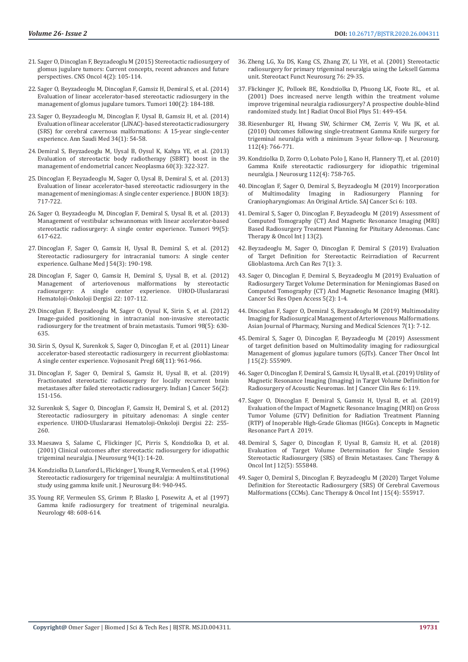- 21. [Sager O, Dincoglan F, Beyzadeoglu M \(2015\) Stereotactic radiosurgery of](https://www.ncbi.nlm.nih.gov/pubmed/25768334)  [glomus jugulare tumors: Current concepts, recent advances and future](https://www.ncbi.nlm.nih.gov/pubmed/25768334)  [perspectives. CNS Oncol 4\(2\): 105-114.](https://www.ncbi.nlm.nih.gov/pubmed/25768334)
- 22. [Sager O, Beyzadeoglu M, Dincoglan F, Gamsiz H, Demiral S, et al. \(2014\)](https://www.ncbi.nlm.nih.gov/pubmed/24852863)  [Evaluation of linear accelerator-based stereotactic radiosurgery in the](https://www.ncbi.nlm.nih.gov/pubmed/24852863)  [management of glomus jugulare tumors. Tumori 100\(2\): 184-188.](https://www.ncbi.nlm.nih.gov/pubmed/24852863)
- 23. [Sager O, Beyzadeoglu M, Dincoglan F, Uysal B, Gamsiz H, et al. \(2014\)](https://www.ncbi.nlm.nih.gov/pubmed/24658554)  [Evaluation of linear accelerator \(LINAC\)-based stereotactic radiosurgery](https://www.ncbi.nlm.nih.gov/pubmed/24658554)  [\(SRS\) for cerebral cavernous malformations: A 15-year single-center](https://www.ncbi.nlm.nih.gov/pubmed/24658554)  [experience. Ann Saudi Med 34\(1\): 54-58.](https://www.ncbi.nlm.nih.gov/pubmed/24658554)
- 24. [Demiral S, Beyzadeoglu M, Uysal B, Oysul K, Kahya YE, et al. \(2013\)](https://www.ncbi.nlm.nih.gov/pubmed/23374003)  [Evaluation of stereotactic body radiotherapy \(SBRT\) boost in the](https://www.ncbi.nlm.nih.gov/pubmed/23374003)  [management of endometrial cancer. Neoplasma 60\(3\): 322-327.](https://www.ncbi.nlm.nih.gov/pubmed/23374003)
- 25. [Dincoglan F, Beyzadeoglu M, Sager O, Uysal B, Demiral S, et al. \(2013\)](https://www.ncbi.nlm.nih.gov/pubmed/24065489)  [Evaluation of linear accelerator-based stereotactic radiosurgery in the](https://www.ncbi.nlm.nih.gov/pubmed/24065489)  [management of meningiomas: A single center experience. J BUON 18\(3\):](https://www.ncbi.nlm.nih.gov/pubmed/24065489)  [717-722.](https://www.ncbi.nlm.nih.gov/pubmed/24065489)
- 26. [Sager O, Beyzadeoglu M, Dincoglan F, Demiral S, Uysal B, et al. \(2013\)](https://www.ncbi.nlm.nih.gov/pubmed/24362867)  [Management of vestibular schwannomas with linear accelerator-based](https://www.ncbi.nlm.nih.gov/pubmed/24362867)  [stereotactic radiosurgery: A single center experience. Tumori 99\(5\):](https://www.ncbi.nlm.nih.gov/pubmed/24362867)  [617-622.](https://www.ncbi.nlm.nih.gov/pubmed/24362867)
- 27. Dincoglan F, Sager O, Gamsiz H, Uysal B, Demiral S, et al. (2012) Stereotactic radiosurgery for intracranial tumors: A single center experience. Gulhane Med J 54(3): 190-198.
- 28. [Dincoglan F, Sager O, Gamsiz H, Demiral S, Uysal B, et al. \(2012\)](https://www.researchgate.net/publication/266485397_Management_of_Arteriovenous_Malformations_by_Stereotactic_Radiosurgery_A_Single_Center_Experience)  Management of arteriovenous malformations by stereotactic<br>radiosurgery: A single center experience. UHOD-Uluslararasi single center experience. UHOD-Uluslararasi [Hematoloji-Onkoloji Dergisi 22: 107-112.](https://www.researchgate.net/publication/266485397_Management_of_Arteriovenous_Malformations_by_Stereotactic_Radiosurgery_A_Single_Center_Experience)
- 29. [Dincoglan F, Beyzadeoglu M, Sager O, Oysul K, Sirin S, et al. \(2012\)](https://www.ncbi.nlm.nih.gov/pubmed/23235759)  [Image-guided positioning in intracranial non-invasive stereotactic](https://www.ncbi.nlm.nih.gov/pubmed/23235759)  [radiosurgery for the treatment of brain metastasis. Tumori 98\(5\): 630-](https://www.ncbi.nlm.nih.gov/pubmed/23235759) [635.](https://www.ncbi.nlm.nih.gov/pubmed/23235759)
- 30. [Sirin S, Oysul K, Surenkok S, Sager O, Dincoglan F, et al. \(2011\) Linear](https://www.ncbi.nlm.nih.gov/pubmed/22191314)  [accelerator-based stereotactic radiosurgery in recurrent glioblastoma:](https://www.ncbi.nlm.nih.gov/pubmed/22191314)  [A single center experience. Vojnosanit Pregl 68\(11\): 961-966.](https://www.ncbi.nlm.nih.gov/pubmed/22191314)
- 31. [Dincoglan F, Sager O, Demiral S, Gamsiz H, Uysal B, et al. \(2019\)](http://www.indianjcancer.com/article.asp?issn=0019-509X;year=2019;volume=56;issue=2;spage=151;epage=156;aulast=Dincoglan)  [Fractionated stereotactic radiosurgery for locally recurrent brain](http://www.indianjcancer.com/article.asp?issn=0019-509X;year=2019;volume=56;issue=2;spage=151;epage=156;aulast=Dincoglan)  [metastases after failed stereotactic radiosurgery. Indian J Cancer 56\(2\):](http://www.indianjcancer.com/article.asp?issn=0019-509X;year=2019;volume=56;issue=2;spage=151;epage=156;aulast=Dincoglan)  [151-156.](http://www.indianjcancer.com/article.asp?issn=0019-509X;year=2019;volume=56;issue=2;spage=151;epage=156;aulast=Dincoglan)
- 32. [Surenkok S, Sager O, Dincoglan F, Gamsiz H, Demiral S, et al. \(2012\)](https://www.researchgate.net/publication/271205171_Stereotactic_Radiosurgery_in_Pituitary_Adenomas_A_Single_Center_Experience)  [Stereotactic radiosurgery in pituitary adenomas: A single center](https://www.researchgate.net/publication/271205171_Stereotactic_Radiosurgery_in_Pituitary_Adenomas_A_Single_Center_Experience)  [experience. UHOD-Uluslararasi Hematoloji-Onkoloji Dergisi 22: 255-](https://www.researchgate.net/publication/271205171_Stereotactic_Radiosurgery_in_Pituitary_Adenomas_A_Single_Center_Experience) [260.](https://www.researchgate.net/publication/271205171_Stereotactic_Radiosurgery_in_Pituitary_Adenomas_A_Single_Center_Experience)
- 33. [Maesawa S, Salame C, Flickinger JC, Pirris S, Kondziolka D, et al.](https://www.ncbi.nlm.nih.gov/pubmed/11147887)  [\(2001\) Clinical outcomes after stereotactic radiosurgery for idiopathic](https://www.ncbi.nlm.nih.gov/pubmed/11147887)  [trigeminal neuralgia. J Neurosurg 94\(1\): 14-20.](https://www.ncbi.nlm.nih.gov/pubmed/11147887)
- 34. [Kondziolka D, Lunsford L, Flickinger J, Young R, Vermeulen S, et al. \(1996\)](https://www.ncbi.nlm.nih.gov/pubmed/8847587)  [Stereotactic radiosurgery for trigeminal neuralgia: A multiinstitutional](https://www.ncbi.nlm.nih.gov/pubmed/8847587)  [study using gamma knife unit. J Neurosurg 84: 940-945.](https://www.ncbi.nlm.nih.gov/pubmed/8847587)
- 35. [Young RF, Vermeulen SS, Grimm P, Blasko J, Posewitz A, et al \(1997\)](https://www.ncbi.nlm.nih.gov/pubmed/9065534)  [Gamma knife radiosurgery for treatment of trigeminal neuralgia.](https://www.ncbi.nlm.nih.gov/pubmed/9065534)  [Neurology 48: 608-614.](https://www.ncbi.nlm.nih.gov/pubmed/9065534)
- 36. [Zheng LG, Xu DS, Kang CS, Zhang ZY, Li YH, et al. \(2001\) Stereotactic](https://www.ncbi.nlm.nih.gov/pubmed/12007276) [radiosurgery for primary trigeminal neuralgia using the Leksell Gamma](https://www.ncbi.nlm.nih.gov/pubmed/12007276) [unit. Stereotact Funct Neurosurg 76: 29-35.](https://www.ncbi.nlm.nih.gov/pubmed/12007276)
- 37. [Flickinger JC, Polloek BE, Kondziolka D, Phuong LK, Foote RL, et al.](https://www.ncbi.nlm.nih.gov/pubmed/11567820) [\(2001\) Does increased nerve length within the treatment volume](https://www.ncbi.nlm.nih.gov/pubmed/11567820) [improve trigeminal neuralgia radiosurgery? A prospective double-blind](https://www.ncbi.nlm.nih.gov/pubmed/11567820) [randomized study. Int J Radiat Oncol Biol Phys 51: 449-454.](https://www.ncbi.nlm.nih.gov/pubmed/11567820)
- 38. [Riesenburger RI, Hwang SW, Schirmer CM, Zerris V, Wu JK, et al.](https://www.ncbi.nlm.nih.gov/pubmed/19780644) [\(2010\) Outcomes following single-treatment Gamma Knife surgery for](https://www.ncbi.nlm.nih.gov/pubmed/19780644) [trigeminal neuralgia with a minimum 3-year follow-up. J Neurosurg.](https://www.ncbi.nlm.nih.gov/pubmed/19780644) [112\(4\): 766-771.](https://www.ncbi.nlm.nih.gov/pubmed/19780644)
- 39. [Kondziolka D, Zorro O, Lobato Polo J, Kano H, Flannery TJ, et al. \(2010\)](https://www.ncbi.nlm.nih.gov/pubmed/19747055) [Gamma Knife stereotactic radiosurgery for idiopathic trigeminal](https://www.ncbi.nlm.nih.gov/pubmed/19747055) [neuralgia. J Neurosurg 112\(4\): 758-765.](https://www.ncbi.nlm.nih.gov/pubmed/19747055)
- 40. [Dincoglan F, Sager O, Demiral S, Beyzadeoglu M \(2019\) Incorporation](http://article.scholarena.com/Incorporation-of-Multimodality-Imaging-in-Radiosurgery-Planning-for-Craniopharyngiomas-An-Original-Article.pdf) Imaging in Radiosurgery Planning [Craniopharyngiomas: An Original Article. SAJ Cancer Sci 6: 103.](http://article.scholarena.com/Incorporation-of-Multimodality-Imaging-in-Radiosurgery-Planning-for-Craniopharyngiomas-An-Original-Article.pdf)
- 41. Demiral S, Sager O, Dincoglan F, Beyzadeoglu M (2019) Assessment of Computed Tomography (CT) And Magnetic Resonance Imaging (MRI) Based Radiosurgery Treatment Planning for Pituitary Adenomas. Canc Therapy & Oncol Int J 13(2).
- 42. [Beyzadeoglu M, Sager O, Dincoglan F, Demiral S \(2019\) Evaluation](http://www.acanceresearch.com/cancer-research/evaluation-of-target-definition-for-stereotactic-reirradiation-of-recurrent-glioblastoma.php?aid=24150) [of Target Definition for Stereotactic Reirradiation of Recurrent](http://www.acanceresearch.com/cancer-research/evaluation-of-target-definition-for-stereotactic-reirradiation-of-recurrent-glioblastoma.php?aid=24150) [Glioblastoma. Arch Can Res 7\(1\): 3.](http://www.acanceresearch.com/cancer-research/evaluation-of-target-definition-for-stereotactic-reirradiation-of-recurrent-glioblastoma.php?aid=24150)
- 43. [Sager O, Dincoglan F, Demiral S, Beyzadeoglu M \(2019\) Evaluation of](https://symbiosisonlinepublishing.com/cancerscience-research/cancerscience-research47.php) [Radiosurgery Target Volume Determination for Meningiomas Based on](https://symbiosisonlinepublishing.com/cancerscience-research/cancerscience-research47.php) [Computed Tomography \(CT\) And Magnetic Resonance Imaging \(MRI\).](https://symbiosisonlinepublishing.com/cancerscience-research/cancerscience-research47.php) [Cancer Sci Res Open Access 5\(2\): 1-4.](https://symbiosisonlinepublishing.com/cancerscience-research/cancerscience-research47.php)
- 44. [Dincoglan F, Sager O, Demiral S, Beyzadeoglu M \(2019\) Multimodality](https://ajouronline.com/index.php/AJPNMS/article/view/5661) [Imaging for Radiosurgical Management of Arteriovenous Malformations.](https://ajouronline.com/index.php/AJPNMS/article/view/5661) [Asian Journal of Pharmacy, Nursing and Medical Sciences 7\(1\): 7-12.](https://ajouronline.com/index.php/AJPNMS/article/view/5661)
- 45. Demiral S, Sager O, Dincoglan F, Beyzadeoglu M (2019) Assessment of target definition based on Multimodality imaging for radiosurgical Management of glomus jugulare tumors (GJTs). Cancer Ther Oncol Int J 15(2): 555909.
- 46. [Sager O, Dincoglan F, Demiral S, Gamsiz H, Uysal B, et al. \(2019\) Utility of](https://clinmedjournals.org/articles/ijccr/international-journal-of-cancer-and-clinical-research-ijccr-6-119.php?jid=ijccr) [Magnetic Resonance Imaging \(Imaging\) in Target Volume Definition for](https://clinmedjournals.org/articles/ijccr/international-journal-of-cancer-and-clinical-research-ijccr-6-119.php?jid=ijccr) [Radiosurgery of Acoustic Neuromas. Int J Cancer Clin Res 6: 119.](https://clinmedjournals.org/articles/ijccr/international-journal-of-cancer-and-clinical-research-ijccr-6-119.php?jid=ijccr)
- 47. [Sager O, Dincoglan F, Demiral S, Gamsiz H, Uysal B, et al. \(2019\)](https://www.hindawi.com/journals/cmra/2019/4282754/) [Evaluation of the Impact of Magnetic Resonance Imaging \(MRI\) on Gross](https://www.hindawi.com/journals/cmra/2019/4282754/) [Tumor Volume \(GTV\) Definition for Radiation Treatment Planning](https://www.hindawi.com/journals/cmra/2019/4282754/) [\(RTP\) of Inoperable High-Grade Gliomas \(HGGs\). Concepts in Magnetic](https://www.hindawi.com/journals/cmra/2019/4282754/) [Resonance Part A 2019.](https://www.hindawi.com/journals/cmra/2019/4282754/)
- 48. [Demiral S, Sager O, Dincoglan F, Uysal B, Gamsiz H, et al. \(2018\)](https://www.researchgate.net/publication/331669886_Evaluation_of_Target_Volume_Determination_for_Single_Session_Stereotactic_Radiosurgery_SRS_of_Brain_Metastases) [Evaluation of Target Volume Determination for Single Session](https://www.researchgate.net/publication/331669886_Evaluation_of_Target_Volume_Determination_for_Single_Session_Stereotactic_Radiosurgery_SRS_of_Brain_Metastases) [Stereotactic Radiosurgery \(SRS\) of Brain Metastases. Canc Therapy &](https://www.researchgate.net/publication/331669886_Evaluation_of_Target_Volume_Determination_for_Single_Session_Stereotactic_Radiosurgery_SRS_of_Brain_Metastases) [Oncol Int J 12\(5\): 555848.](https://www.researchgate.net/publication/331669886_Evaluation_of_Target_Volume_Determination_for_Single_Session_Stereotactic_Radiosurgery_SRS_of_Brain_Metastases)
- 49. Sager O, Demiral S, Dincoglan F, Beyzadeoglu M (2020) Target Volume Definition for Stereotactic Radiosurgery (SRS) Of Cerebral Cavernous Malformations (CCMs). Canc Therapy & Oncol Int J 15(4): 555917.